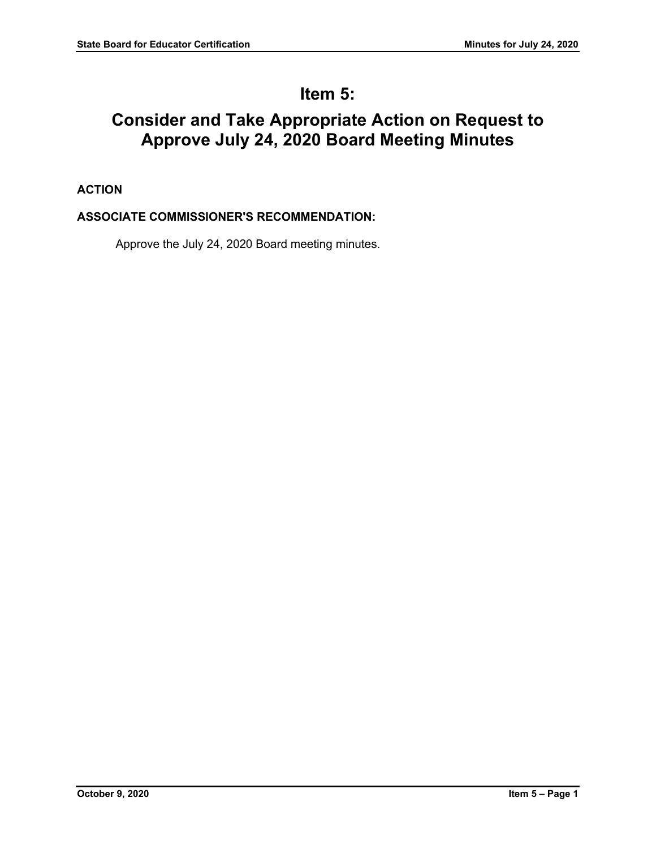# **Item 5:**

# **Consider and Take Appropriate Action on Request to Approve July 24, 2020 Board Meeting Minutes**

## **ACTION**

## **ASSOCIATE COMMISSIONER'S RECOMMENDATION:**

Approve the July 24, 2020 Board meeting minutes.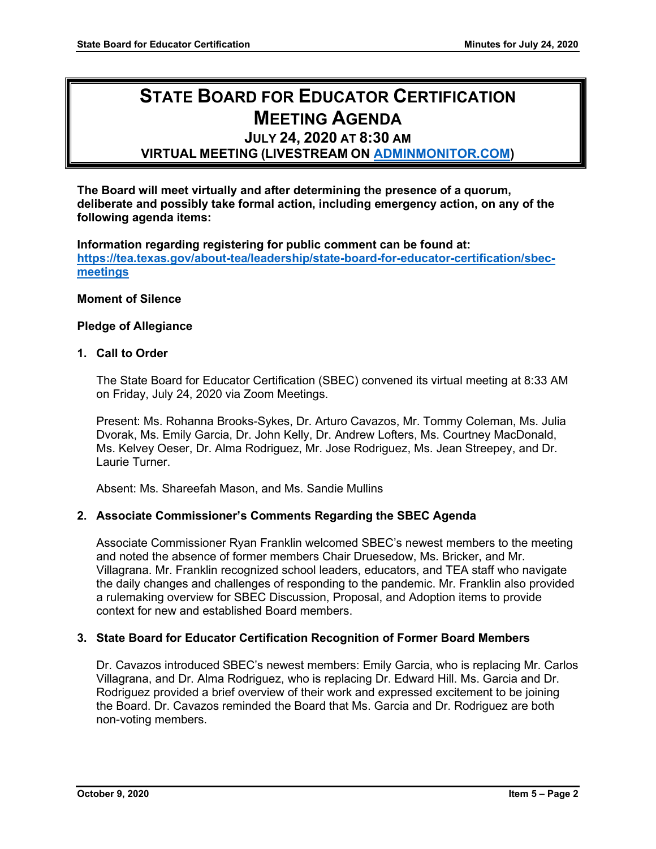# **STATE BOARD FOR EDUCATOR CERTIFICATION MEETING AGENDA**

# **JULY 24, 2020 AT 8:30 AM**

## **VIRTUAL MEETING (LIVESTREAM ON [ADMINMONITOR.COM\)](http://www.adminmonitor.com/tx/tea/)**

**The Board will meet virtually and after determining the presence of a quorum, deliberate and possibly take formal action, including emergency action, on any of the following agenda items:**

**Information regarding registering for public comment can be found at: [https://tea.texas.gov/about-tea/leadership/state-board-for-educator-certification/sbec](https://nam10.safelinks.protection.outlook.com/?url=https%3A%2F%2Ftea.texas.gov%2Fabout-tea%2Fleadership%2Fstate-board-for-educator-certification%2Fsbec-meetings&data=02%7C01%7CKatelin.Allen%40tea.texas.gov%7C33f09bed51314321053e08d7e6d36cb5%7C65d6b3c3723648189613248dbd713a6f%7C0%7C0%7C637231668044732631&sdata=p8LIEPR4IIZEJnEdirrTXTHGHIbtX2MWtvumJv7Tzho%3D&reserved=0)[meetings](https://nam10.safelinks.protection.outlook.com/?url=https%3A%2F%2Ftea.texas.gov%2Fabout-tea%2Fleadership%2Fstate-board-for-educator-certification%2Fsbec-meetings&data=02%7C01%7CKatelin.Allen%40tea.texas.gov%7C33f09bed51314321053e08d7e6d36cb5%7C65d6b3c3723648189613248dbd713a6f%7C0%7C0%7C637231668044732631&sdata=p8LIEPR4IIZEJnEdirrTXTHGHIbtX2MWtvumJv7Tzho%3D&reserved=0)**

#### **Moment of Silence**

#### **Pledge of Allegiance**

#### **1. Call to Order**

The State Board for Educator Certification (SBEC) convened its virtual meeting at 8:33 AM on Friday, July 24, 2020 via Zoom Meetings.

Present: Ms. Rohanna Brooks-Sykes, Dr. Arturo Cavazos, Mr. Tommy Coleman, Ms. Julia Dvorak, Ms. Emily Garcia, Dr. John Kelly, Dr. Andrew Lofters, Ms. Courtney MacDonald, Ms. Kelvey Oeser, Dr. Alma Rodriguez, Mr. Jose Rodriguez, Ms. Jean Streepey, and Dr. Laurie Turner.

Absent: Ms. Shareefah Mason, and Ms. Sandie Mullins

#### **2. Associate Commissioner's Comments Regarding the SBEC Agenda**

Associate Commissioner Ryan Franklin welcomed SBEC's newest members to the meeting and noted the absence of former members Chair Druesedow, Ms. Bricker, and Mr. Villagrana. Mr. Franklin recognized school leaders, educators, and TEA staff who navigate the daily changes and challenges of responding to the pandemic. Mr. Franklin also provided a rulemaking overview for SBEC Discussion, Proposal, and Adoption items to provide context for new and established Board members.

#### **3. State Board for Educator Certification Recognition of Former Board Members**

Dr. Cavazos introduced SBEC's newest members: Emily Garcia, who is replacing Mr. Carlos Villagrana, and Dr. Alma Rodriguez, who is replacing Dr. Edward Hill. Ms. Garcia and Dr. Rodriguez provided a brief overview of their work and expressed excitement to be joining the Board. Dr. Cavazos reminded the Board that Ms. Garcia and Dr. Rodriguez are both non-voting members.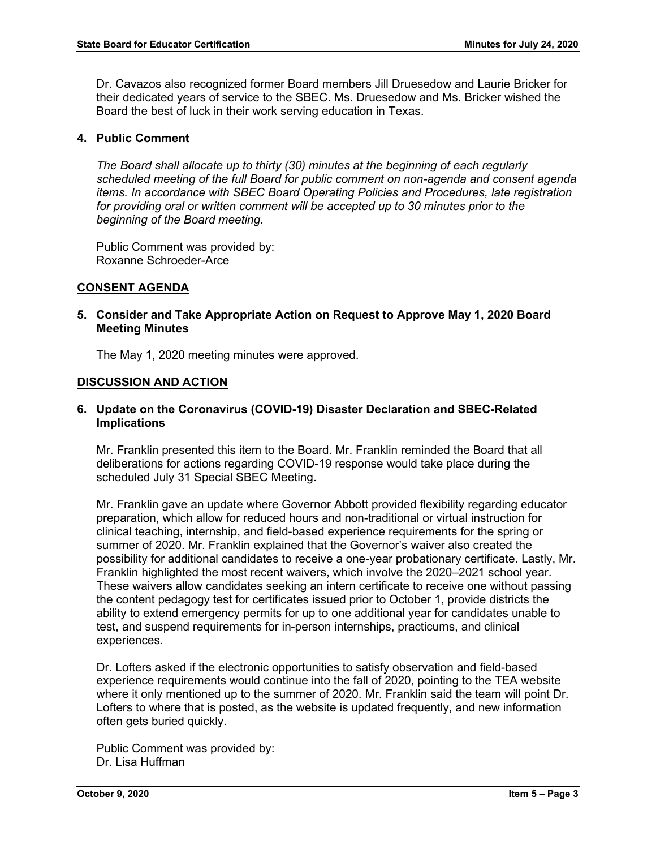Dr. Cavazos also recognized former Board members Jill Druesedow and Laurie Bricker for their dedicated years of service to the SBEC. Ms. Druesedow and Ms. Bricker wished the Board the best of luck in their work serving education in Texas.

#### **4. Public Comment**

*The Board shall allocate up to thirty (30) minutes at the beginning of each regularly scheduled meeting of the full Board for public comment on non-agenda and consent agenda items. In accordance with SBEC Board Operating Policies and Procedures, late registration for providing oral or written comment will be accepted up to 30 minutes prior to the beginning of the Board meeting.*

Public Comment was provided by: Roxanne Schroeder-Arce

## **CONSENT AGENDA**

**5. Consider and Take Appropriate Action on Request to Approve May 1, 2020 Board Meeting Minutes**

The May 1, 2020 meeting minutes were approved.

#### **DISCUSSION AND ACTION**

#### **6. Update on the Coronavirus (COVID-19) Disaster Declaration and SBEC-Related Implications**

Mr. Franklin presented this item to the Board. Mr. Franklin reminded the Board that all deliberations for actions regarding COVID-19 response would take place during the scheduled July 31 Special SBEC Meeting.

Mr. Franklin gave an update where Governor Abbott provided flexibility regarding educator preparation, which allow for reduced hours and non-traditional or virtual instruction for clinical teaching, internship, and field-based experience requirements for the spring or summer of 2020. Mr. Franklin explained that the Governor's waiver also created the possibility for additional candidates to receive a one-year probationary certificate. Lastly, Mr. Franklin highlighted the most recent waivers, which involve the 2020–2021 school year. These waivers allow candidates seeking an intern certificate to receive one without passing the content pedagogy test for certificates issued prior to October 1, provide districts the ability to extend emergency permits for up to one additional year for candidates unable to test, and suspend requirements for in-person internships, practicums, and clinical experiences.

Dr. Lofters asked if the electronic opportunities to satisfy observation and field-based experience requirements would continue into the fall of 2020, pointing to the TEA website where it only mentioned up to the summer of 2020. Mr. Franklin said the team will point Dr. Lofters to where that is posted, as the website is updated frequently, and new information often gets buried quickly.

Public Comment was provided by: Dr. Lisa Huffman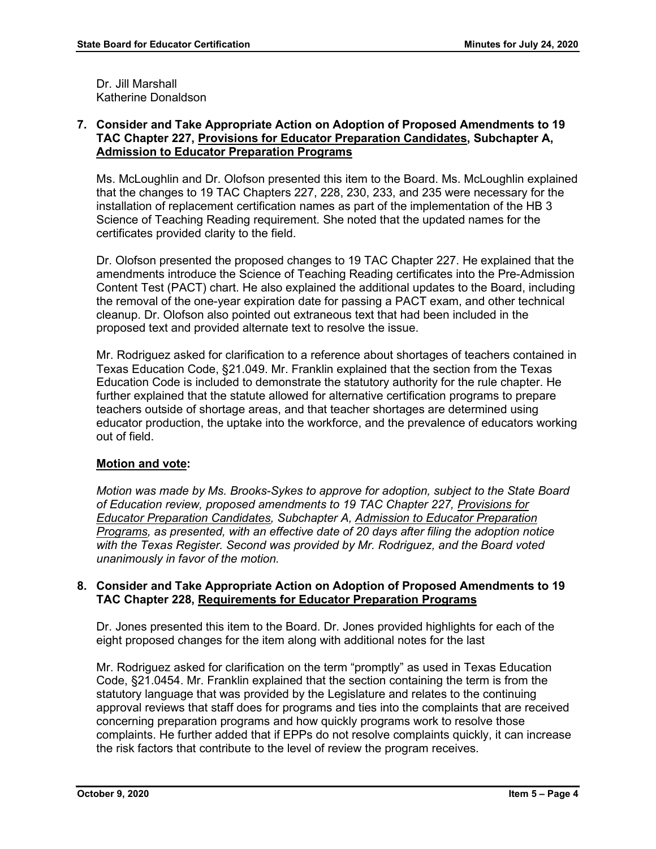Dr. Jill Marshall Katherine Donaldson

## **7. Consider and Take Appropriate Action on Adoption of Proposed Amendments to 19 TAC Chapter 227, Provisions for Educator Preparation Candidates, Subchapter A, Admission to Educator Preparation Programs**

Ms. McLoughlin and Dr. Olofson presented this item to the Board. Ms. McLoughlin explained that the changes to 19 TAC Chapters 227, 228, 230, 233, and 235 were necessary for the installation of replacement certification names as part of the implementation of the HB 3 Science of Teaching Reading requirement. She noted that the updated names for the certificates provided clarity to the field.

Dr. Olofson presented the proposed changes to 19 TAC Chapter 227. He explained that the amendments introduce the Science of Teaching Reading certificates into the Pre-Admission Content Test (PACT) chart. He also explained the additional updates to the Board, including the removal of the one-year expiration date for passing a PACT exam, and other technical cleanup. Dr. Olofson also pointed out extraneous text that had been included in the proposed text and provided alternate text to resolve the issue.

Mr. Rodriguez asked for clarification to a reference about shortages of teachers contained in Texas Education Code, §21.049. Mr. Franklin explained that the section from the Texas Education Code is included to demonstrate the statutory authority for the rule chapter. He further explained that the statute allowed for alternative certification programs to prepare teachers outside of shortage areas, and that teacher shortages are determined using educator production, the uptake into the workforce, and the prevalence of educators working out of field.

## **Motion and vote:**

*Motion was made by Ms. Brooks-Sykes to approve for adoption, subject to the State Board of Education review, proposed amendments to 19 TAC Chapter 227, Provisions for Educator Preparation Candidates, Subchapter A, Admission to Educator Preparation Programs, as presented, with an effective date of 20 days after filing the adoption notice with the Texas Register. Second was provided by Mr. Rodriguez, and the Board voted unanimously in favor of the motion.*

## **8. Consider and Take Appropriate Action on Adoption of Proposed Amendments to 19 TAC Chapter 228, Requirements for Educator Preparation Programs**

Dr. Jones presented this item to the Board. Dr. Jones provided highlights for each of the eight proposed changes for the item along with additional notes for the last

Mr. Rodriguez asked for clarification on the term "promptly" as used in Texas Education Code, §21.0454. Mr. Franklin explained that the section containing the term is from the statutory language that was provided by the Legislature and relates to the continuing approval reviews that staff does for programs and ties into the complaints that are received concerning preparation programs and how quickly programs work to resolve those complaints. He further added that if EPPs do not resolve complaints quickly, it can increase the risk factors that contribute to the level of review the program receives.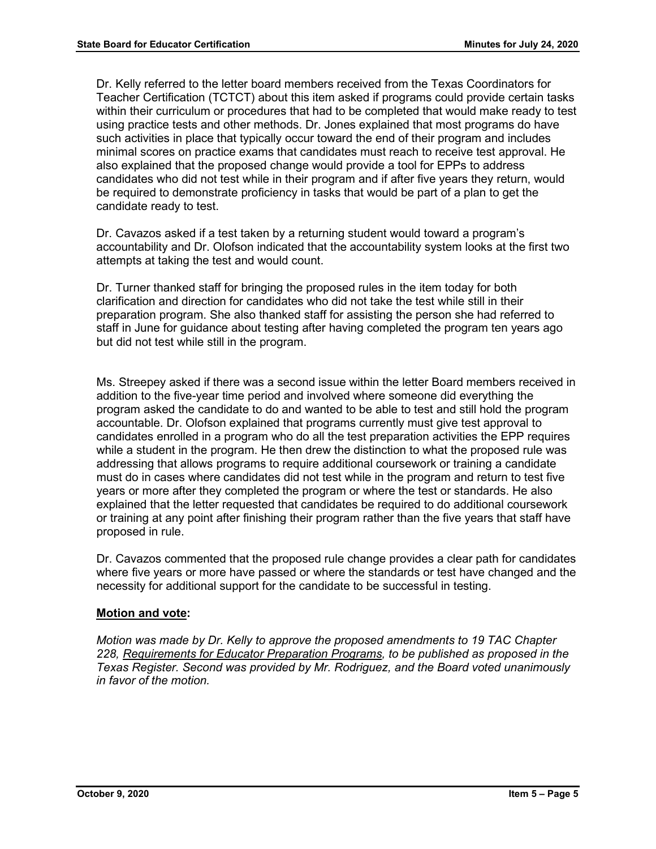Dr. Kelly referred to the letter board members received from the Texas Coordinators for Teacher Certification (TCTCT) about this item asked if programs could provide certain tasks within their curriculum or procedures that had to be completed that would make ready to test using practice tests and other methods. Dr. Jones explained that most programs do have such activities in place that typically occur toward the end of their program and includes minimal scores on practice exams that candidates must reach to receive test approval. He also explained that the proposed change would provide a tool for EPPs to address candidates who did not test while in their program and if after five years they return, would be required to demonstrate proficiency in tasks that would be part of a plan to get the candidate ready to test.

Dr. Cavazos asked if a test taken by a returning student would toward a program's accountability and Dr. Olofson indicated that the accountability system looks at the first two attempts at taking the test and would count.

Dr. Turner thanked staff for bringing the proposed rules in the item today for both clarification and direction for candidates who did not take the test while still in their preparation program. She also thanked staff for assisting the person she had referred to staff in June for guidance about testing after having completed the program ten years ago but did not test while still in the program.

Ms. Streepey asked if there was a second issue within the letter Board members received in addition to the five-year time period and involved where someone did everything the program asked the candidate to do and wanted to be able to test and still hold the program accountable. Dr. Olofson explained that programs currently must give test approval to candidates enrolled in a program who do all the test preparation activities the EPP requires while a student in the program. He then drew the distinction to what the proposed rule was addressing that allows programs to require additional coursework or training a candidate must do in cases where candidates did not test while in the program and return to test five years or more after they completed the program or where the test or standards. He also explained that the letter requested that candidates be required to do additional coursework or training at any point after finishing their program rather than the five years that staff have proposed in rule.

Dr. Cavazos commented that the proposed rule change provides a clear path for candidates where five years or more have passed or where the standards or test have changed and the necessity for additional support for the candidate to be successful in testing.

## **Motion and vote:**

*Motion was made by Dr. Kelly to approve the proposed amendments to 19 TAC Chapter 228, Requirements for Educator Preparation Programs, to be published as proposed in the Texas Register. Second was provided by Mr. Rodriguez, and the Board voted unanimously in favor of the motion.*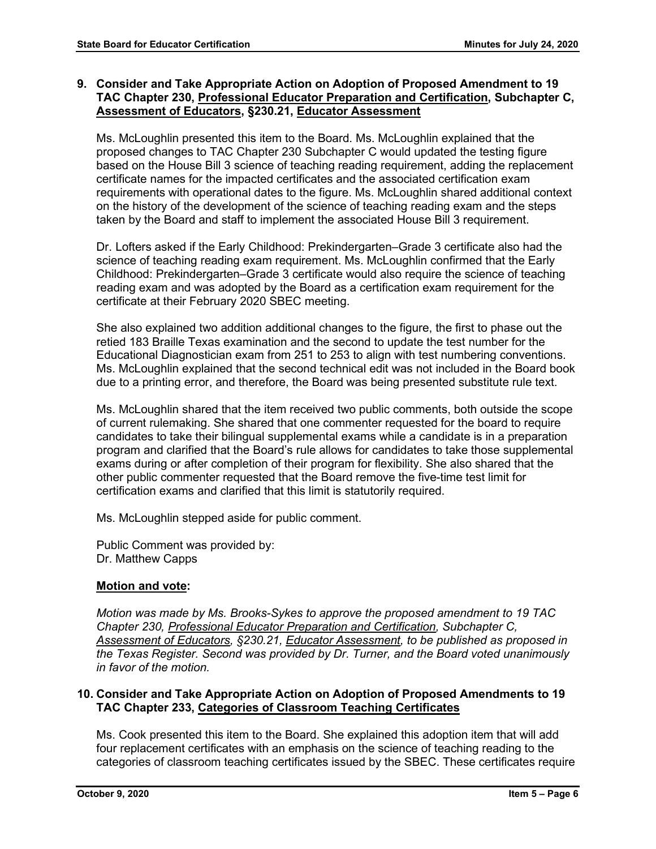## **9. Consider and Take Appropriate Action on Adoption of Proposed Amendment to 19 TAC Chapter 230, Professional Educator Preparation and Certification, Subchapter C, Assessment of Educators, §230.21, Educator Assessment**

Ms. McLoughlin presented this item to the Board. Ms. McLoughlin explained that the proposed changes to TAC Chapter 230 Subchapter C would updated the testing figure based on the House Bill 3 science of teaching reading requirement, adding the replacement certificate names for the impacted certificates and the associated certification exam requirements with operational dates to the figure. Ms. McLoughlin shared additional context on the history of the development of the science of teaching reading exam and the steps taken by the Board and staff to implement the associated House Bill 3 requirement.

Dr. Lofters asked if the Early Childhood: Prekindergarten–Grade 3 certificate also had the science of teaching reading exam requirement. Ms. McLoughlin confirmed that the Early Childhood: Prekindergarten–Grade 3 certificate would also require the science of teaching reading exam and was adopted by the Board as a certification exam requirement for the certificate at their February 2020 SBEC meeting.

She also explained two addition additional changes to the figure, the first to phase out the retied 183 Braille Texas examination and the second to update the test number for the Educational Diagnostician exam from 251 to 253 to align with test numbering conventions. Ms. McLoughlin explained that the second technical edit was not included in the Board book due to a printing error, and therefore, the Board was being presented substitute rule text.

Ms. McLoughlin shared that the item received two public comments, both outside the scope of current rulemaking. She shared that one commenter requested for the board to require candidates to take their bilingual supplemental exams while a candidate is in a preparation program and clarified that the Board's rule allows for candidates to take those supplemental exams during or after completion of their program for flexibility. She also shared that the other public commenter requested that the Board remove the five-time test limit for certification exams and clarified that this limit is statutorily required.

Ms. McLoughlin stepped aside for public comment.

Public Comment was provided by: Dr. Matthew Capps

## **Motion and vote:**

*Motion was made by Ms. Brooks-Sykes to approve the proposed amendment to 19 TAC Chapter 230, Professional Educator Preparation and Certification, Subchapter C, Assessment of Educators, §230.21, Educator Assessment, to be published as proposed in the Texas Register. Second was provided by Dr. Turner, and the Board voted unanimously in favor of the motion.*

## **10. Consider and Take Appropriate Action on Adoption of Proposed Amendments to 19 TAC Chapter 233, Categories of Classroom Teaching Certificates**

Ms. Cook presented this item to the Board. She explained this adoption item that will add four replacement certificates with an emphasis on the science of teaching reading to the categories of classroom teaching certificates issued by the SBEC. These certificates require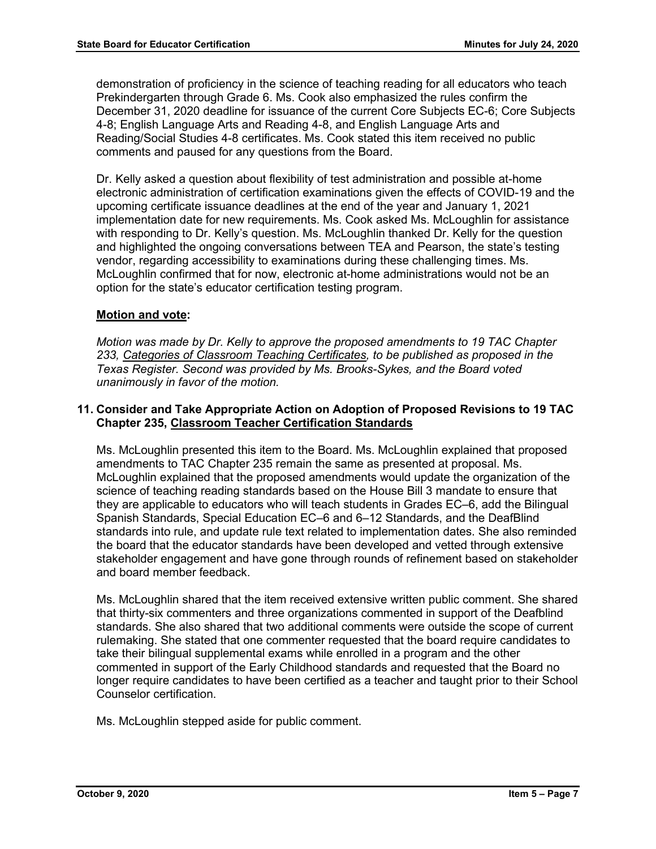demonstration of proficiency in the science of teaching reading for all educators who teach Prekindergarten through Grade 6. Ms. Cook also emphasized the rules confirm the December 31, 2020 deadline for issuance of the current Core Subjects EC-6; Core Subjects 4-8; English Language Arts and Reading 4-8, and English Language Arts and Reading/Social Studies 4-8 certificates. Ms. Cook stated this item received no public comments and paused for any questions from the Board.

Dr. Kelly asked a question about flexibility of test administration and possible at-home electronic administration of certification examinations given the effects of COVID-19 and the upcoming certificate issuance deadlines at the end of the year and January 1, 2021 implementation date for new requirements. Ms. Cook asked Ms. McLoughlin for assistance with responding to Dr. Kelly's question. Ms. McLoughlin thanked Dr. Kelly for the question and highlighted the ongoing conversations between TEA and Pearson, the state's testing vendor, regarding accessibility to examinations during these challenging times. Ms. McLoughlin confirmed that for now, electronic at-home administrations would not be an option for the state's educator certification testing program.

## **Motion and vote:**

*Motion was made by Dr. Kelly to approve the proposed amendments to 19 TAC Chapter 233, Categories of Classroom Teaching Certificates, to be published as proposed in the Texas Register. Second was provided by Ms. Brooks-Sykes, and the Board voted unanimously in favor of the motion.*

## **11. Consider and Take Appropriate Action on Adoption of Proposed Revisions to 19 TAC Chapter 235, Classroom Teacher Certification Standards**

Ms. McLoughlin presented this item to the Board. Ms. McLoughlin explained that proposed amendments to TAC Chapter 235 remain the same as presented at proposal. Ms. McLoughlin explained that the proposed amendments would update the organization of the science of teaching reading standards based on the House Bill 3 mandate to ensure that they are applicable to educators who will teach students in Grades EC–6, add the Bilingual Spanish Standards, Special Education EC–6 and 6–12 Standards, and the DeafBlind standards into rule, and update rule text related to implementation dates. She also reminded the board that the educator standards have been developed and vetted through extensive stakeholder engagement and have gone through rounds of refinement based on stakeholder and board member feedback.

Ms. McLoughlin shared that the item received extensive written public comment. She shared that thirty-six commenters and three organizations commented in support of the Deafblind standards. She also shared that two additional comments were outside the scope of current rulemaking. She stated that one commenter requested that the board require candidates to take their bilingual supplemental exams while enrolled in a program and the other commented in support of the Early Childhood standards and requested that the Board no longer require candidates to have been certified as a teacher and taught prior to their School Counselor certification.

Ms. McLoughlin stepped aside for public comment.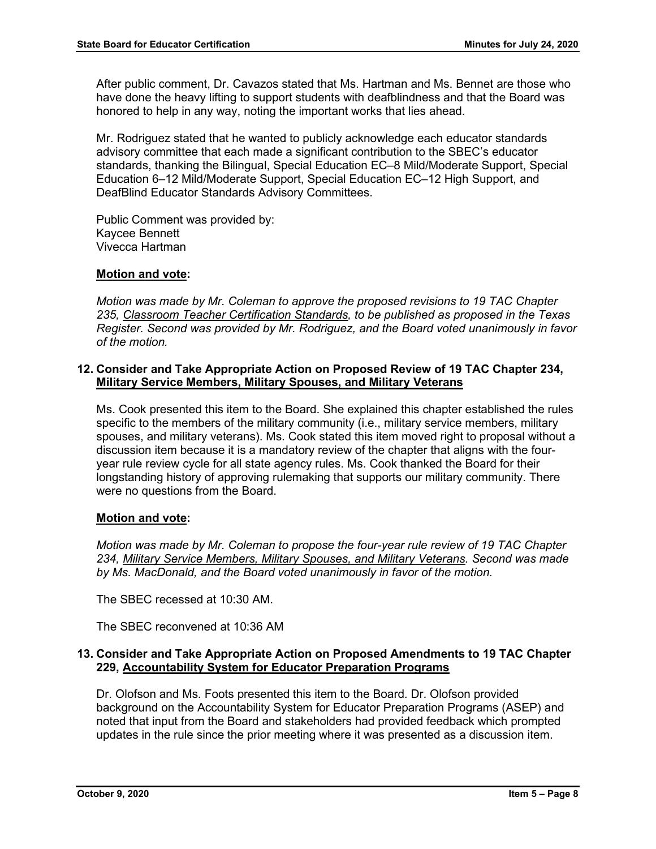After public comment, Dr. Cavazos stated that Ms. Hartman and Ms. Bennet are those who have done the heavy lifting to support students with deafblindness and that the Board was honored to help in any way, noting the important works that lies ahead.

Mr. Rodriguez stated that he wanted to publicly acknowledge each educator standards advisory committee that each made a significant contribution to the SBEC's educator standards, thanking the Bilingual, Special Education EC–8 Mild/Moderate Support, Special Education 6–12 Mild/Moderate Support, Special Education EC–12 High Support, and DeafBlind Educator Standards Advisory Committees.

Public Comment was provided by: Kaycee Bennett Vivecca Hartman

## **Motion and vote:**

*Motion was made by Mr. Coleman to approve the proposed revisions to 19 TAC Chapter 235, Classroom Teacher Certification Standards, to be published as proposed in the Texas Register. Second was provided by Mr. Rodriguez, and the Board voted unanimously in favor of the motion.*

## **12. Consider and Take Appropriate Action on Proposed Review of 19 TAC Chapter 234, Military Service Members, Military Spouses, and Military Veterans**

Ms. Cook presented this item to the Board. She explained this chapter established the rules specific to the members of the military community (i.e., military service members, military spouses, and military veterans). Ms. Cook stated this item moved right to proposal without a discussion item because it is a mandatory review of the chapter that aligns with the fouryear rule review cycle for all state agency rules. Ms. Cook thanked the Board for their longstanding history of approving rulemaking that supports our military community. There were no questions from the Board.

## **Motion and vote:**

*Motion was made by Mr. Coleman to propose the four-year rule review of 19 TAC Chapter 234, Military Service Members, Military Spouses, and Military Veterans. Second was made by Ms. MacDonald, and the Board voted unanimously in favor of the motion.*

The SBEC recessed at 10:30 AM.

The SBEC reconvened at 10:36 AM

## **13. Consider and Take Appropriate Action on Proposed Amendments to 19 TAC Chapter 229, Accountability System for Educator Preparation Programs**

Dr. Olofson and Ms. Foots presented this item to the Board. Dr. Olofson provided background on the Accountability System for Educator Preparation Programs (ASEP) and noted that input from the Board and stakeholders had provided feedback which prompted updates in the rule since the prior meeting where it was presented as a discussion item.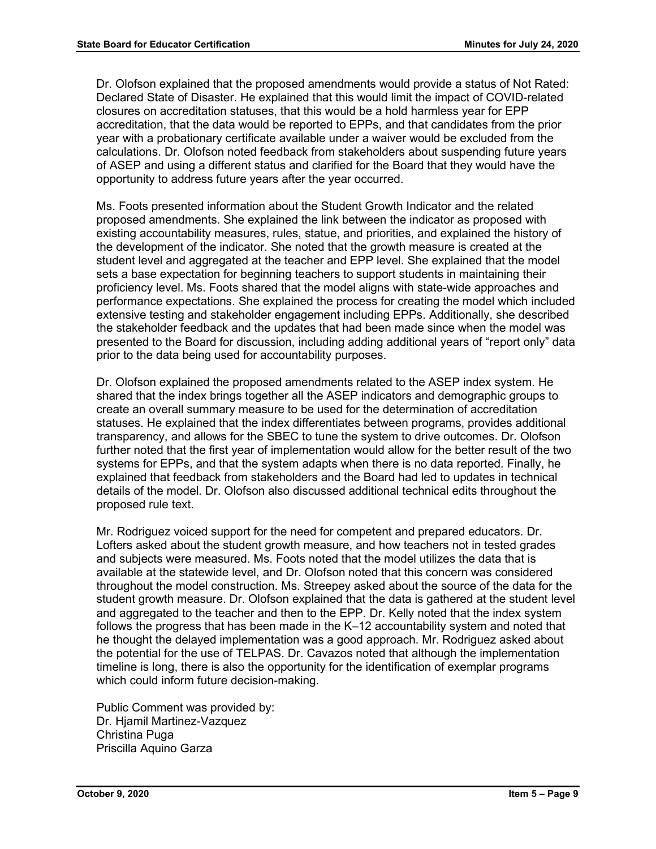Dr. Olofson explained that the proposed amendments would provide a status of Not Rated: Declared State of Disaster. He explained that this would limit the impact of COVID-related closures on accreditation statuses, that this would be a hold harmless year for EPP accreditation, that the data would be reported to EPPs, and that candidates from the prior year with a probationary certificate available under a waiver would be excluded from the calculations. Dr. Olofson noted feedback from stakeholders about suspending future years of ASEP and using a different status and clarified for the Board that they would have the opportunity to address future years after the year occurred.

Ms. Foots presented information about the Student Growth Indicator and the related proposed amendments. She explained the link between the indicator as proposed with existing accountability measures, rules, statue, and priorities, and explained the history of the development of the indicator. She noted that the growth measure is created at the student level and aggregated at the teacher and EPP level. She explained that the model sets a base expectation for beginning teachers to support students in maintaining their proficiency level. Ms. Foots shared that the model aligns with state-wide approaches and performance expectations. She explained the process for creating the model which included extensive testing and stakeholder engagement including EPPs. Additionally, she described the stakeholder feedback and the updates that had been made since when the model was presented to the Board for discussion, including adding additional years of "report only" data prior to the data being used for accountability purposes.

Dr. Olofson explained the proposed amendments related to the ASEP index system. He shared that the index brings together all the ASEP indicators and demographic groups to create an overall summary measure to be used for the determination of accreditation statuses. He explained that the index differentiates between programs, provides additional transparency, and allows for the SBEC to tune the system to drive outcomes. Dr. Olofson further noted that the first year of implementation would allow for the better result of the two systems for EPPs, and that the system adapts when there is no data reported. Finally, he explained that feedback from stakeholders and the Board had led to updates in technical details of the model. Dr. Olofson also discussed additional technical edits throughout the proposed rule text.

Mr. Rodriguez voiced support for the need for competent and prepared educators. Dr. Lofters asked about the student growth measure, and how teachers not in tested grades and subjects were measured. Ms. Foots noted that the model utilizes the data that is available at the statewide level, and Dr. Olofson noted that this concern was considered throughout the model construction. Ms. Streepey asked about the source of the data for the student growth measure. Dr. Olofson explained that the data is gathered at the student level and aggregated to the teacher and then to the EPP. Dr. Kelly noted that the index system follows the progress that has been made in the K–12 accountability system and noted that he thought the delayed implementation was a good approach. Mr. Rodriguez asked about the potential for the use of TELPAS. Dr. Cavazos noted that although the implementation timeline is long, there is also the opportunity for the identification of exemplar programs which could inform future decision-making.

Public Comment was provided by: Dr. Hiamil Martinez-Vazquez Christina Puga Priscilla Aquino Garza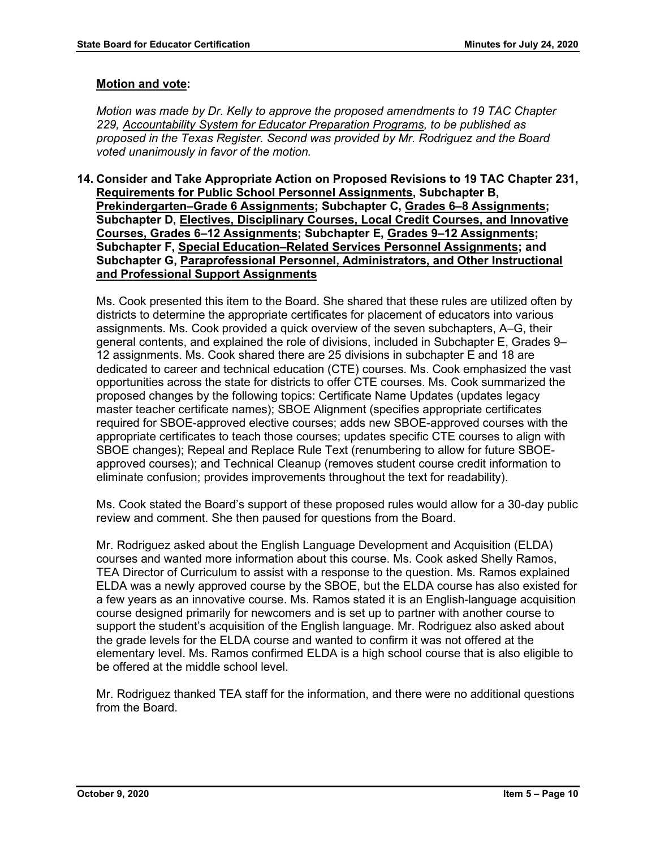#### **Motion and vote:**

*Motion was made by Dr. Kelly to approve the proposed amendments to 19 TAC Chapter 229, Accountability System for Educator Preparation Programs, to be published as proposed in the Texas Register. Second was provided by Mr. Rodriguez and the Board voted unanimously in favor of the motion.*

**14. Consider and Take Appropriate Action on Proposed Revisions to 19 TAC Chapter 231, Requirements for Public School Personnel Assignments, Subchapter B, Prekindergarten–Grade 6 Assignments; Subchapter C, Grades 6–8 Assignments; Subchapter D, Electives, Disciplinary Courses, Local Credit Courses, and Innovative Courses, Grades 6–12 Assignments; Subchapter E, Grades 9–12 Assignments; Subchapter F, Special Education–Related Services Personnel Assignments; and Subchapter G, Paraprofessional Personnel, Administrators, and Other Instructional and Professional Support Assignments**

Ms. Cook presented this item to the Board. She shared that these rules are utilized often by districts to determine the appropriate certificates for placement of educators into various assignments. Ms. Cook provided a quick overview of the seven subchapters, A–G, their general contents, and explained the role of divisions, included in Subchapter E, Grades 9– 12 assignments. Ms. Cook shared there are 25 divisions in subchapter E and 18 are dedicated to career and technical education (CTE) courses. Ms. Cook emphasized the vast opportunities across the state for districts to offer CTE courses. Ms. Cook summarized the proposed changes by the following topics: Certificate Name Updates (updates legacy master teacher certificate names); SBOE Alignment (specifies appropriate certificates required for SBOE-approved elective courses; adds new SBOE-approved courses with the appropriate certificates to teach those courses; updates specific CTE courses to align with SBOE changes); Repeal and Replace Rule Text (renumbering to allow for future SBOEapproved courses); and Technical Cleanup (removes student course credit information to eliminate confusion; provides improvements throughout the text for readability).

Ms. Cook stated the Board's support of these proposed rules would allow for a 30-day public review and comment. She then paused for questions from the Board.

Mr. Rodriguez asked about the English Language Development and Acquisition (ELDA) courses and wanted more information about this course. Ms. Cook asked Shelly Ramos, TEA Director of Curriculum to assist with a response to the question. Ms. Ramos explained ELDA was a newly approved course by the SBOE, but the ELDA course has also existed for a few years as an innovative course. Ms. Ramos stated it is an English-language acquisition course designed primarily for newcomers and is set up to partner with another course to support the student's acquisition of the English language. Mr. Rodriguez also asked about the grade levels for the ELDA course and wanted to confirm it was not offered at the elementary level. Ms. Ramos confirmed ELDA is a high school course that is also eligible to be offered at the middle school level.

Mr. Rodriguez thanked TEA staff for the information, and there were no additional questions from the Board.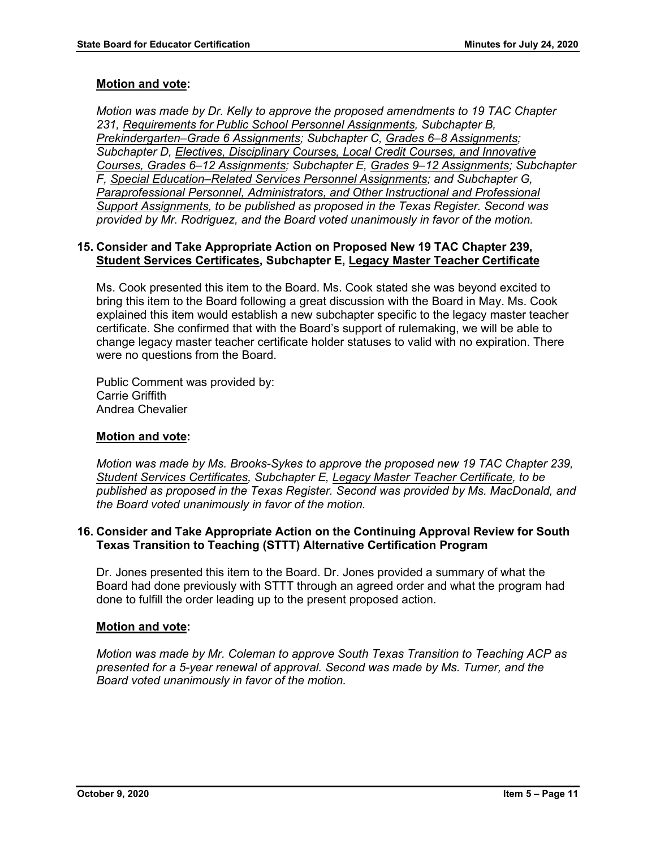## **Motion and vote:**

*Motion was made by Dr. Kelly to approve the proposed amendments to 19 TAC Chapter 231, Requirements for Public School Personnel Assignments, Subchapter B, Prekindergarten–Grade 6 Assignments; Subchapter C, Grades 6–8 Assignments; Subchapter D, Electives, Disciplinary Courses, Local Credit Courses, and Innovative Courses, Grades 6–12 Assignments; Subchapter E, Grades 9–12 Assignments; Subchapter F, Special Education–Related Services Personnel Assignments; and Subchapter G, Paraprofessional Personnel, Administrators, and Other Instructional and Professional Support Assignments, to be published as proposed in the Texas Register. Second was provided by Mr. Rodriguez, and the Board voted unanimously in favor of the motion.*

## **15. Consider and Take Appropriate Action on Proposed New 19 TAC Chapter 239, Student Services Certificates, Subchapter E, Legacy Master Teacher Certificate**

Ms. Cook presented this item to the Board. Ms. Cook stated she was beyond excited to bring this item to the Board following a great discussion with the Board in May. Ms. Cook explained this item would establish a new subchapter specific to the legacy master teacher certificate. She confirmed that with the Board's support of rulemaking, we will be able to change legacy master teacher certificate holder statuses to valid with no expiration. There were no questions from the Board.

Public Comment was provided by: Carrie Griffith Andrea Chevalier

## **Motion and vote:**

*Motion was made by Ms. Brooks-Sykes to approve the proposed new 19 TAC Chapter 239, Student Services Certificates, Subchapter E, Legacy Master Teacher Certificate, to be published as proposed in the Texas Register. Second was provided by Ms. MacDonald, and the Board voted unanimously in favor of the motion.*

## **16. Consider and Take Appropriate Action on the Continuing Approval Review for South Texas Transition to Teaching (STTT) Alternative Certification Program**

Dr. Jones presented this item to the Board. Dr. Jones provided a summary of what the Board had done previously with STTT through an agreed order and what the program had done to fulfill the order leading up to the present proposed action.

## **Motion and vote:**

*Motion was made by Mr. Coleman to approve South Texas Transition to Teaching ACP as presented for a 5-year renewal of approval. Second was made by Ms. Turner, and the Board voted unanimously in favor of the motion.*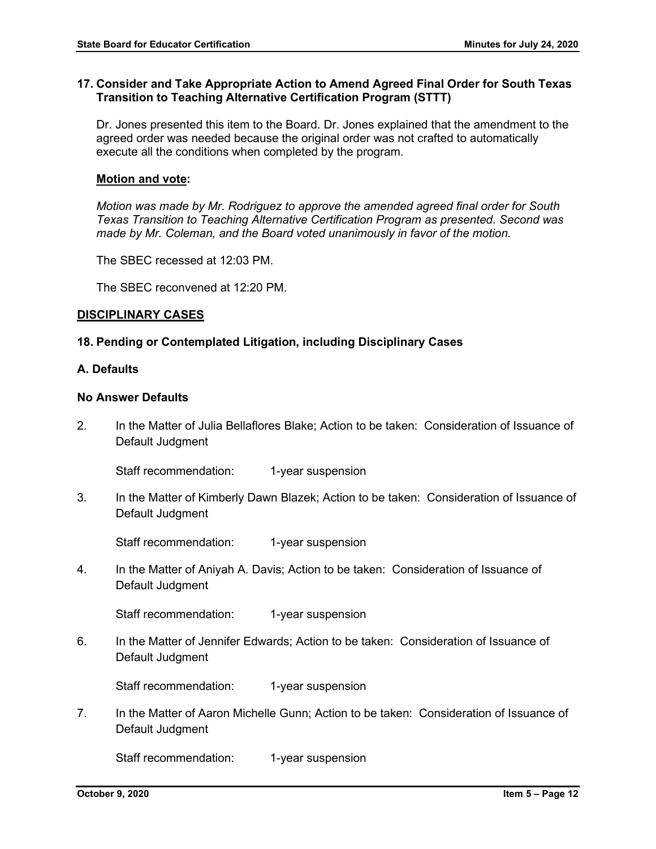## **17. Consider and Take Appropriate Action to Amend Agreed Final Order for South Texas Transition to Teaching Alternative Certification Program (STTT)**

Dr. Jones presented this item to the Board. Dr. Jones explained that the amendment to the agreed order was needed because the original order was not crafted to automatically execute all the conditions when completed by the program.

#### **Motion and vote:**

*Motion was made by Mr. Rodriguez to approve the amended agreed final order for South Texas Transition to Teaching Alternative Certification Program as presented. Second was made by Mr. Coleman, and the Board voted unanimously in favor of the motion.*

The SBEC recessed at 12:03 PM.

The SBEC reconvened at 12:20 PM.

#### **DISCIPLINARY CASES**

#### **18. Pending or Contemplated Litigation, including Disciplinary Cases**

#### **A. Defaults**

#### **No Answer Defaults**

2. In the Matter of Julia Bellaflores Blake; Action to be taken: Consideration of Issuance of Default Judgment

Staff recommendation: 1-year suspension

3. In the Matter of Kimberly Dawn Blazek; Action to be taken: Consideration of Issuance of Default Judgment

Staff recommendation: 1-year suspension

4. In the Matter of Aniyah A. Davis; Action to be taken: Consideration of Issuance of Default Judgment

Staff recommendation: 1-year suspension

6. In the Matter of Jennifer Edwards; Action to be taken: Consideration of Issuance of Default Judgment

Staff recommendation: 1-year suspension

7. In the Matter of Aaron Michelle Gunn; Action to be taken: Consideration of Issuance of Default Judgment

Staff recommendation: 1-year suspension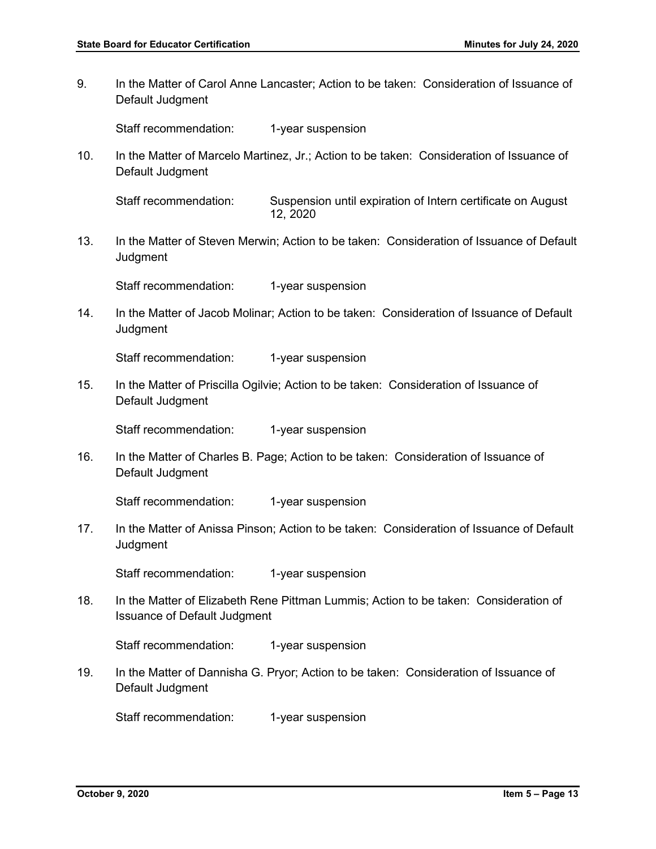9. In the Matter of Carol Anne Lancaster; Action to be taken: Consideration of Issuance of Default Judgment

Staff recommendation: 1-year suspension

10. In the Matter of Marcelo Martinez, Jr.; Action to be taken: Consideration of Issuance of Default Judgment

Staff recommendation: Suspension until expiration of Intern certificate on August 12, 2020

13. In the Matter of Steven Merwin; Action to be taken: Consideration of Issuance of Default **Judgment** 

Staff recommendation: 1-year suspension

14. In the Matter of Jacob Molinar; Action to be taken: Consideration of Issuance of Default **Judgment** 

Staff recommendation: 1-year suspension

15. In the Matter of Priscilla Ogilvie; Action to be taken: Consideration of Issuance of Default Judgment

Staff recommendation: 1-year suspension

16. In the Matter of Charles B. Page; Action to be taken: Consideration of Issuance of Default Judgment

Staff recommendation: 1-year suspension

17. In the Matter of Anissa Pinson; Action to be taken: Consideration of Issuance of Default **Judgment** 

Staff recommendation: 1-year suspension

18. In the Matter of Elizabeth Rene Pittman Lummis; Action to be taken: Consideration of Issuance of Default Judgment

Staff recommendation: 1-year suspension

19. In the Matter of Dannisha G. Pryor; Action to be taken: Consideration of Issuance of Default Judgment

Staff recommendation: 1-year suspension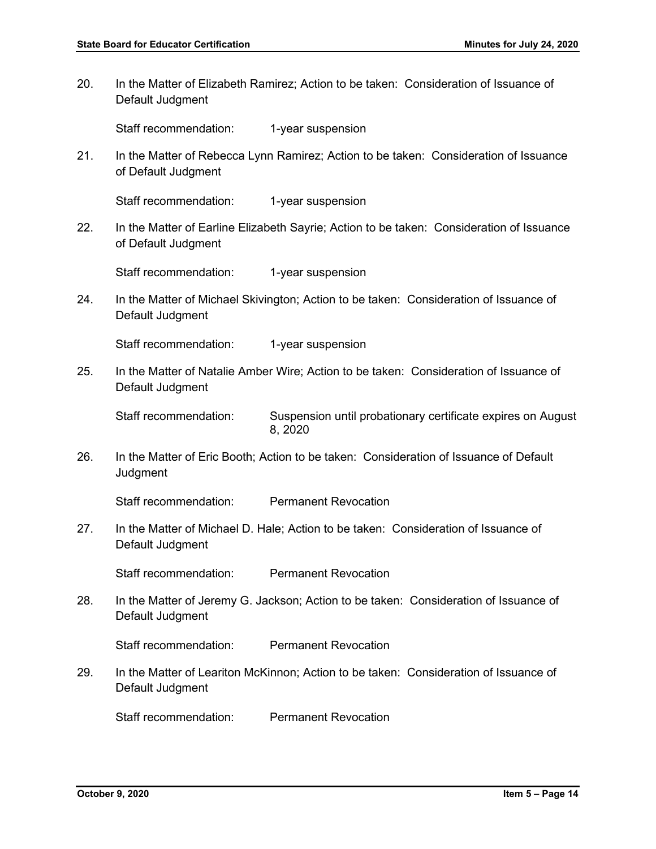20. In the Matter of Elizabeth Ramirez; Action to be taken: Consideration of Issuance of Default Judgment

Staff recommendation: 1-year suspension

21. In the Matter of Rebecca Lynn Ramirez; Action to be taken: Consideration of Issuance of Default Judgment

Staff recommendation: 1-year suspension

22. In the Matter of Earline Elizabeth Sayrie; Action to be taken: Consideration of Issuance of Default Judgment

Staff recommendation: 1-year suspension

24. In the Matter of Michael Skivington; Action to be taken: Consideration of Issuance of Default Judgment

Staff recommendation: 1-year suspension

25. In the Matter of Natalie Amber Wire; Action to be taken: Consideration of Issuance of Default Judgment

Staff recommendation: Suspension until probationary certificate expires on August 8, 2020

26. In the Matter of Eric Booth; Action to be taken: Consideration of Issuance of Default **Judgment** 

Staff recommendation: Permanent Revocation

27. In the Matter of Michael D. Hale; Action to be taken: Consideration of Issuance of Default Judgment

Staff recommendation: Permanent Revocation

28. In the Matter of Jeremy G. Jackson; Action to be taken: Consideration of Issuance of Default Judgment

Staff recommendation: Permanent Revocation

29. In the Matter of Leariton McKinnon; Action to be taken: Consideration of Issuance of Default Judgment

Staff recommendation: Permanent Revocation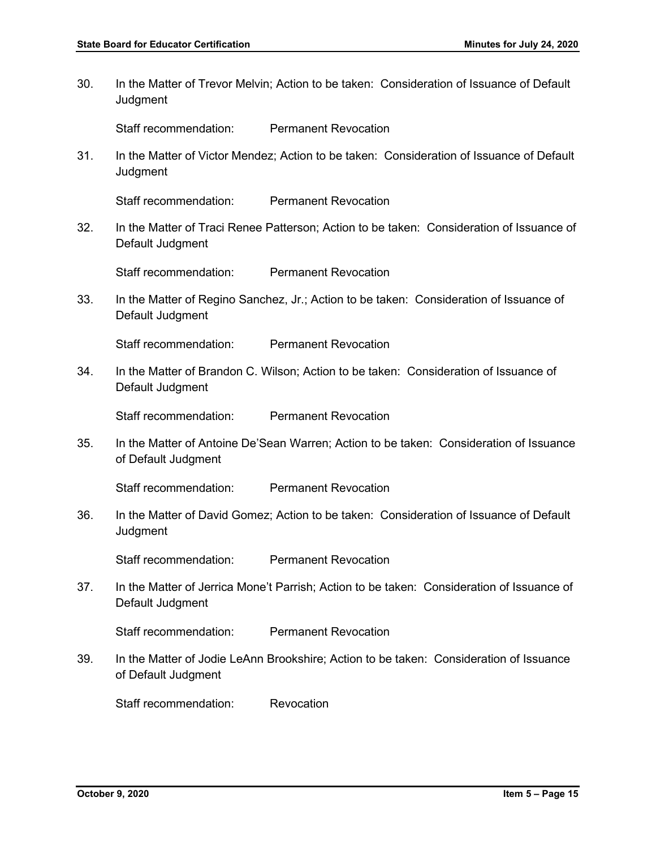30. In the Matter of Trevor Melvin; Action to be taken: Consideration of Issuance of Default **Judgment** 

Staff recommendation: Permanent Revocation

31. In the Matter of Victor Mendez; Action to be taken: Consideration of Issuance of Default Judgment

Staff recommendation: Permanent Revocation

32. In the Matter of Traci Renee Patterson; Action to be taken: Consideration of Issuance of Default Judgment

Staff recommendation: Permanent Revocation

33. In the Matter of Regino Sanchez, Jr.; Action to be taken: Consideration of Issuance of Default Judgment

Staff recommendation: Permanent Revocation

34. In the Matter of Brandon C. Wilson; Action to be taken: Consideration of Issuance of Default Judgment

Staff recommendation: Permanent Revocation

35. In the Matter of Antoine De'Sean Warren; Action to be taken: Consideration of Issuance of Default Judgment

Staff recommendation: Permanent Revocation

36. In the Matter of David Gomez; Action to be taken: Consideration of Issuance of Default **Judgment** 

Staff recommendation: Permanent Revocation

37. In the Matter of Jerrica Mone't Parrish; Action to be taken: Consideration of Issuance of Default Judgment

Staff recommendation: Permanent Revocation

39. In the Matter of Jodie LeAnn Brookshire; Action to be taken: Consideration of Issuance of Default Judgment

Staff recommendation: Revocation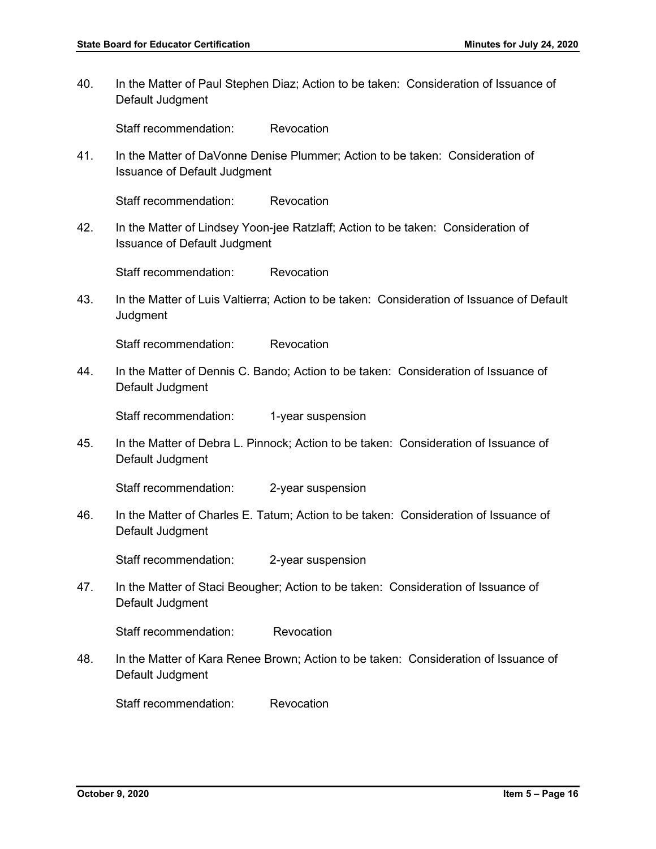40. In the Matter of Paul Stephen Diaz; Action to be taken: Consideration of Issuance of Default Judgment

Staff recommendation: Revocation

41. In the Matter of DaVonne Denise Plummer; Action to be taken: Consideration of Issuance of Default Judgment

Staff recommendation: Revocation

42. In the Matter of Lindsey Yoon-jee Ratzlaff; Action to be taken: Consideration of Issuance of Default Judgment

Staff recommendation: Revocation

43. In the Matter of Luis Valtierra; Action to be taken: Consideration of Issuance of Default **Judgment** 

Staff recommendation: Revocation

44. In the Matter of Dennis C. Bando; Action to be taken: Consideration of Issuance of Default Judgment

Staff recommendation: 1-year suspension

45. In the Matter of Debra L. Pinnock; Action to be taken: Consideration of Issuance of Default Judgment

Staff recommendation: 2-year suspension

46. In the Matter of Charles E. Tatum; Action to be taken: Consideration of Issuance of Default Judgment

Staff recommendation: 2-year suspension

47. In the Matter of Staci Beougher; Action to be taken: Consideration of Issuance of Default Judgment

Staff recommendation: Revocation

48. In the Matter of Kara Renee Brown; Action to be taken: Consideration of Issuance of Default Judgment

Staff recommendation: Revocation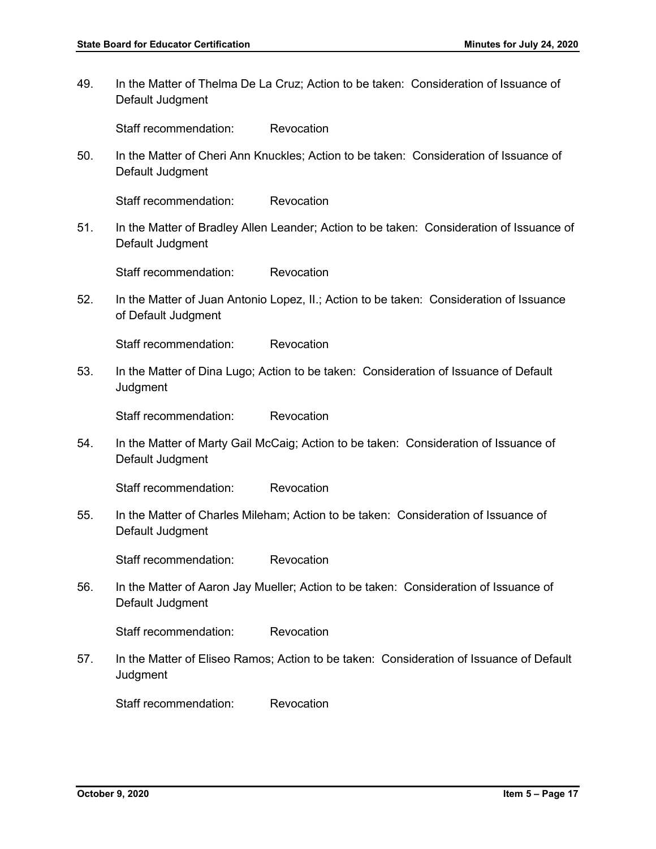49. In the Matter of Thelma De La Cruz; Action to be taken: Consideration of Issuance of Default Judgment

Staff recommendation: Revocation

50. In the Matter of Cheri Ann Knuckles; Action to be taken: Consideration of Issuance of Default Judgment

Staff recommendation: Revocation

51. In the Matter of Bradley Allen Leander; Action to be taken: Consideration of Issuance of Default Judgment

Staff recommendation: Revocation

52. In the Matter of Juan Antonio Lopez, II.; Action to be taken: Consideration of Issuance of Default Judgment

Staff recommendation: Revocation

53. In the Matter of Dina Lugo; Action to be taken: Consideration of Issuance of Default Judgment

Staff recommendation: Revocation

54. In the Matter of Marty Gail McCaig; Action to be taken: Consideration of Issuance of Default Judgment

Staff recommendation: Revocation

55. In the Matter of Charles Mileham; Action to be taken: Consideration of Issuance of Default Judgment

Staff recommendation: Revocation

56. In the Matter of Aaron Jay Mueller; Action to be taken: Consideration of Issuance of Default Judgment

Staff recommendation: Revocation

57. In the Matter of Eliseo Ramos; Action to be taken: Consideration of Issuance of Default **Judgment** 

Staff recommendation: Revocation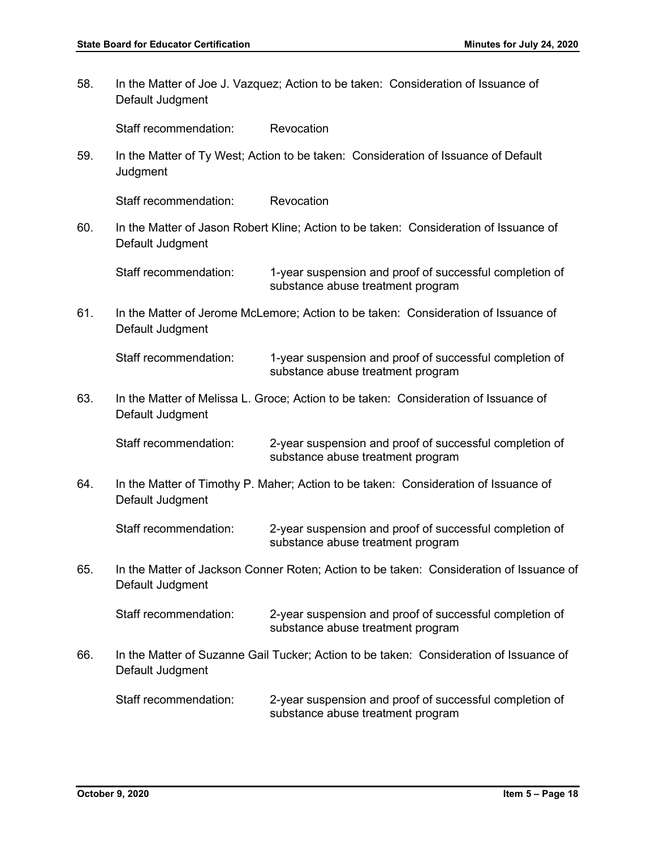58. In the Matter of Joe J. Vazquez; Action to be taken: Consideration of Issuance of Default Judgment Staff recommendation: Revocation 59. In the Matter of Ty West; Action to be taken: Consideration of Issuance of Default **Judgment** Staff recommendation: Revocation 60. In the Matter of Jason Robert Kline; Action to be taken: Consideration of Issuance of Default Judgment Staff recommendation: 1-year suspension and proof of successful completion of substance abuse treatment program 61. In the Matter of Jerome McLemore; Action to be taken: Consideration of Issuance of Default Judgment Staff recommendation: 1-year suspension and proof of successful completion of substance abuse treatment program 63. In the Matter of Melissa L. Groce; Action to be taken: Consideration of Issuance of Default Judgment Staff recommendation: 2-year suspension and proof of successful completion of substance abuse treatment program 64. In the Matter of Timothy P. Maher; Action to be taken: Consideration of Issuance of Default Judgment Staff recommendation: 2-year suspension and proof of successful completion of substance abuse treatment program 65. In the Matter of Jackson Conner Roten; Action to be taken: Consideration of Issuance of Default Judgment Staff recommendation: 2-year suspension and proof of successful completion of substance abuse treatment program 66. In the Matter of Suzanne Gail Tucker; Action to be taken: Consideration of Issuance of Default Judgment Staff recommendation: 2-year suspension and proof of successful completion of substance abuse treatment program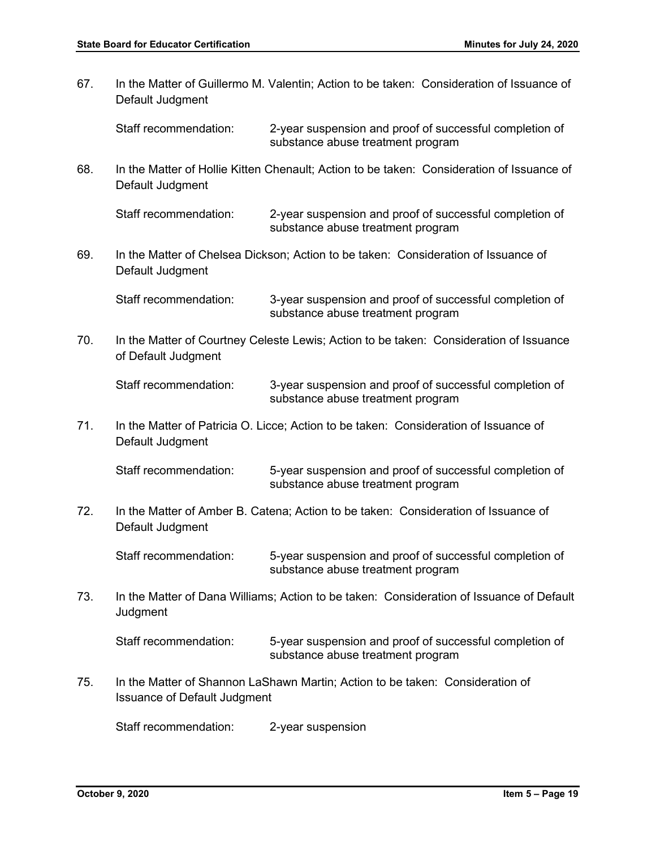67. In the Matter of Guillermo M. Valentin; Action to be taken: Consideration of Issuance of Default Judgment Staff recommendation: 2-year suspension and proof of successful completion of substance abuse treatment program 68. In the Matter of Hollie Kitten Chenault; Action to be taken: Consideration of Issuance of Default Judgment Staff recommendation: 2-year suspension and proof of successful completion of substance abuse treatment program 69. In the Matter of Chelsea Dickson; Action to be taken: Consideration of Issuance of Default Judgment Staff recommendation: 3-year suspension and proof of successful completion of substance abuse treatment program 70. In the Matter of Courtney Celeste Lewis; Action to be taken: Consideration of Issuance of Default Judgment Staff recommendation: 3-year suspension and proof of successful completion of substance abuse treatment program 71. In the Matter of Patricia O. Licce; Action to be taken: Consideration of Issuance of Default Judgment Staff recommendation: 5-year suspension and proof of successful completion of substance abuse treatment program 72. In the Matter of Amber B. Catena; Action to be taken: Consideration of Issuance of Default Judgment Staff recommendation: 5-year suspension and proof of successful completion of substance abuse treatment program 73. In the Matter of Dana Williams; Action to be taken: Consideration of Issuance of Default **Judgment** Staff recommendation: 5-year suspension and proof of successful completion of substance abuse treatment program 75. In the Matter of Shannon LaShawn Martin; Action to be taken: Consideration of Issuance of Default Judgment Staff recommendation: 2-year suspension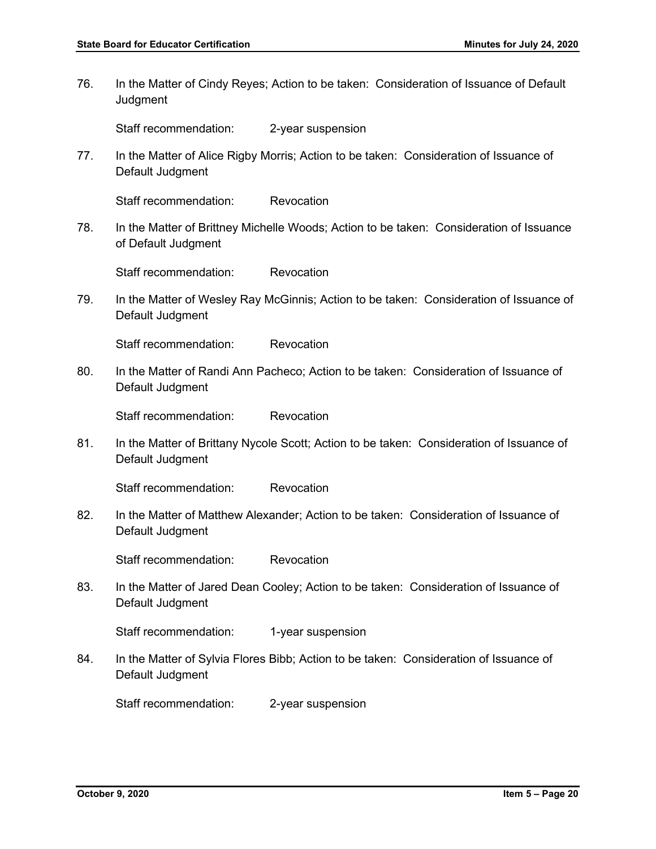76. In the Matter of Cindy Reyes; Action to be taken: Consideration of Issuance of Default **Judgment** 

Staff recommendation: 2-year suspension

77. In the Matter of Alice Rigby Morris; Action to be taken: Consideration of Issuance of Default Judgment

Staff recommendation: Revocation

78. In the Matter of Brittney Michelle Woods; Action to be taken: Consideration of Issuance of Default Judgment

Staff recommendation: Revocation

79. In the Matter of Wesley Ray McGinnis; Action to be taken: Consideration of Issuance of Default Judgment

Staff recommendation: Revocation

80. In the Matter of Randi Ann Pacheco; Action to be taken: Consideration of Issuance of Default Judgment

Staff recommendation: Revocation

81. In the Matter of Brittany Nycole Scott; Action to be taken: Consideration of Issuance of Default Judgment

Staff recommendation: Revocation

82. In the Matter of Matthew Alexander; Action to be taken: Consideration of Issuance of Default Judgment

Staff recommendation: Revocation

83. In the Matter of Jared Dean Cooley; Action to be taken: Consideration of Issuance of Default Judgment

Staff recommendation: 1-year suspension

84. In the Matter of Sylvia Flores Bibb; Action to be taken: Consideration of Issuance of Default Judgment

Staff recommendation: 2-year suspension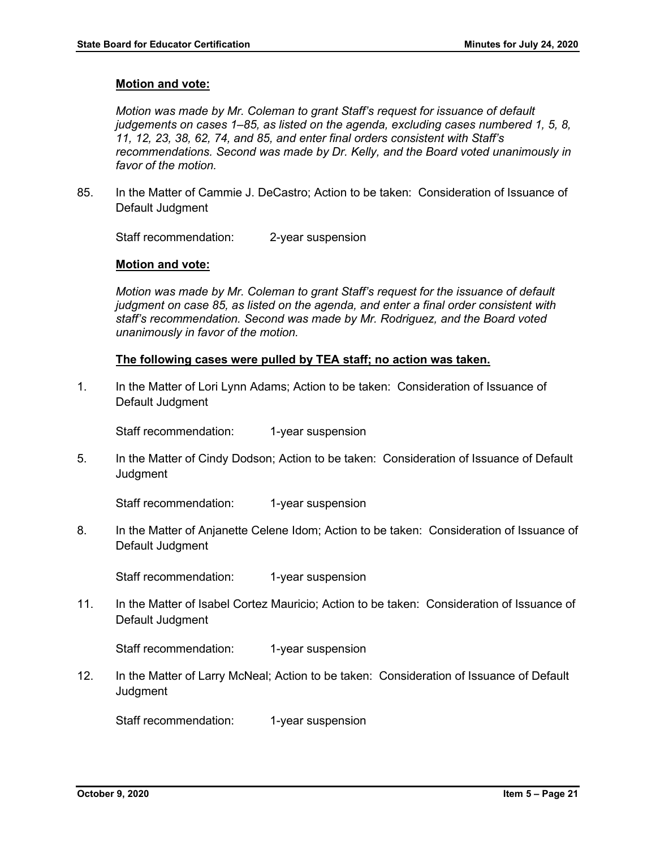#### **Motion and vote:**

*Motion was made by Mr. Coleman to grant Staff's request for issuance of default judgements on cases 1–85, as listed on the agenda, excluding cases numbered 1, 5, 8, 11, 12, 23, 38, 62, 74, and 85, and enter final orders consistent with Staff's recommendations. Second was made by Dr. Kelly, and the Board voted unanimously in favor of the motion.* 

85. In the Matter of Cammie J. DeCastro; Action to be taken: Consideration of Issuance of Default Judgment

Staff recommendation: 2-year suspension

#### **Motion and vote:**

*Motion was made by Mr. Coleman to grant Staff's request for the issuance of default judgment on case 85, as listed on the agenda, and enter a final order consistent with staff's recommendation. Second was made by Mr. Rodriguez, and the Board voted unanimously in favor of the motion.*

#### **The following cases were pulled by TEA staff; no action was taken.**

1. In the Matter of Lori Lynn Adams; Action to be taken: Consideration of Issuance of Default Judgment

Staff recommendation: 1-year suspension

5. In the Matter of Cindy Dodson; Action to be taken: Consideration of Issuance of Default **Judgment** 

Staff recommendation: 1-year suspension

8. In the Matter of Anjanette Celene Idom; Action to be taken: Consideration of Issuance of Default Judgment

Staff recommendation: 1-year suspension

11. In the Matter of Isabel Cortez Mauricio; Action to be taken: Consideration of Issuance of Default Judgment

Staff recommendation: 1-year suspension

12. In the Matter of Larry McNeal; Action to be taken: Consideration of Issuance of Default **Judament** 

Staff recommendation: 1-year suspension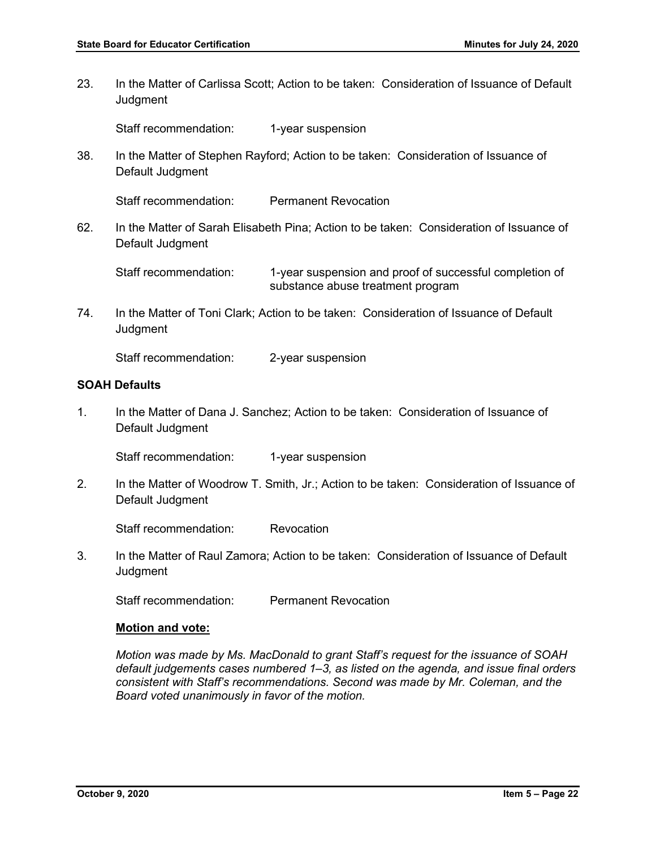23. In the Matter of Carlissa Scott; Action to be taken: Consideration of Issuance of Default **Judgment** 

Staff recommendation: 1-year suspension

38. In the Matter of Stephen Rayford; Action to be taken: Consideration of Issuance of Default Judgment

Staff recommendation: Permanent Revocation

62. In the Matter of Sarah Elisabeth Pina; Action to be taken: Consideration of Issuance of Default Judgment

Staff recommendation: 1-year suspension and proof of successful completion of substance abuse treatment program

74. In the Matter of Toni Clark; Action to be taken: Consideration of Issuance of Default **Judgment** 

Staff recommendation: 2-year suspension

#### **SOAH Defaults**

1. In the Matter of Dana J. Sanchez; Action to be taken: Consideration of Issuance of Default Judgment

Staff recommendation: 1-year suspension

2. In the Matter of Woodrow T. Smith, Jr.; Action to be taken: Consideration of Issuance of Default Judgment

Staff recommendation: Revocation

3. In the Matter of Raul Zamora; Action to be taken: Consideration of Issuance of Default **Judgment** 

Staff recommendation: Permanent Revocation

#### **Motion and vote:**

*Motion was made by Ms. MacDonald to grant Staff's request for the issuance of SOAH default judgements cases numbered 1–3, as listed on the agenda, and issue final orders consistent with Staff's recommendations. Second was made by Mr. Coleman, and the Board voted unanimously in favor of the motion.*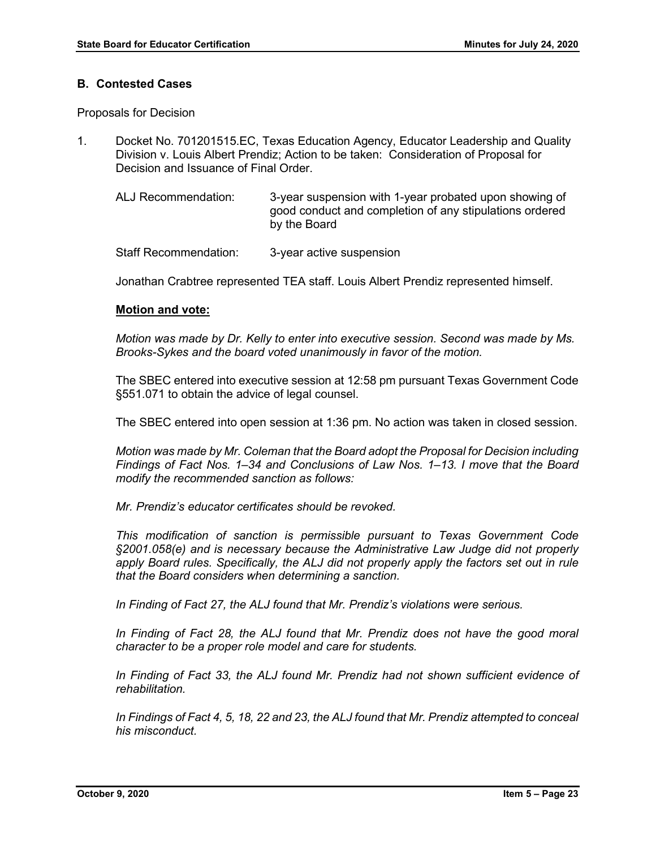#### **B. Contested Cases**

Proposals for Decision

- 1. Docket No. 701201515.EC, Texas Education Agency, Educator Leadership and Quality Division v. Louis Albert Prendiz; Action to be taken: Consideration of Proposal for Decision and Issuance of Final Order.
	- ALJ Recommendation: 3-year suspension with 1-year probated upon showing of good conduct and completion of any stipulations ordered by the Board

Staff Recommendation: 3-year active suspension

Jonathan Crabtree represented TEA staff. Louis Albert Prendiz represented himself.

#### **Motion and vote:**

*Motion was made by Dr. Kelly to enter into executive session. Second was made by Ms. Brooks-Sykes and the board voted unanimously in favor of the motion.* 

The SBEC entered into executive session at 12:58 pm pursuant Texas Government Code §551.071 to obtain the advice of legal counsel.

The SBEC entered into open session at 1:36 pm. No action was taken in closed session.

*Motion was made by Mr. Coleman that the Board adopt the Proposal for Decision including Findings of Fact Nos. 1–34 and Conclusions of Law Nos. 1–13. I move that the Board modify the recommended sanction as follows:*

*Mr. Prendiz's educator certificates should be revoked.* 

*This modification of sanction is permissible pursuant to Texas Government Code §2001.058(e) and is necessary because the Administrative Law Judge did not properly apply Board rules. Specifically, the ALJ did not properly apply the factors set out in rule that the Board considers when determining a sanction.* 

*In Finding of Fact 27, the ALJ found that Mr. Prendiz's violations were serious.* 

In Finding of Fact 28, the ALJ found that Mr. Prendiz does not have the good moral *character to be a proper role model and care for students.*

*In Finding of Fact 33, the ALJ found Mr. Prendiz had not shown sufficient evidence of rehabilitation.* 

*In Findings of Fact 4, 5, 18, 22 and 23, the ALJ found that Mr. Prendiz attempted to conceal his misconduct.*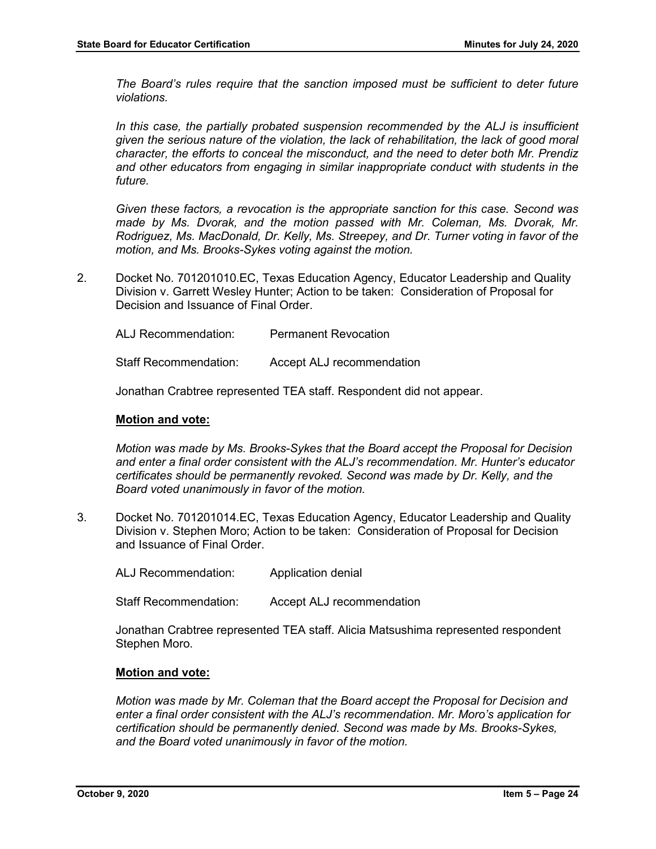*The Board's rules require that the sanction imposed must be sufficient to deter future violations.* 

In this case, the partially probated suspension recommended by the ALJ is insufficient *given the serious nature of the violation, the lack of rehabilitation, the lack of good moral character, the efforts to conceal the misconduct, and the need to deter both Mr. Prendiz and other educators from engaging in similar inappropriate conduct with students in the future.* 

*Given these factors, a revocation is the appropriate sanction for this case. Second was made by Ms. Dvorak, and the motion passed with Mr. Coleman, Ms. Dvorak, Mr. Rodriguez, Ms. MacDonald, Dr. Kelly, Ms. Streepey, and Dr. Turner voting in favor of the motion, and Ms. Brooks-Sykes voting against the motion.* 

2. Docket No. 701201010.EC, Texas Education Agency, Educator Leadership and Quality Division v. Garrett Wesley Hunter; Action to be taken: Consideration of Proposal for Decision and Issuance of Final Order.

| ALJ Recommendation:          | <b>Permanent Revocation</b> |
|------------------------------|-----------------------------|
| <b>Staff Recommendation:</b> | Accept ALJ recommendation   |

Jonathan Crabtree represented TEA staff. Respondent did not appear.

#### **Motion and vote:**

*Motion was made by Ms. Brooks-Sykes that the Board accept the Proposal for Decision and enter a final order consistent with the ALJ's recommendation. Mr. Hunter's educator certificates should be permanently revoked. Second was made by Dr. Kelly, and the Board voted unanimously in favor of the motion.*

3. Docket No. 701201014.EC, Texas Education Agency, Educator Leadership and Quality Division v. Stephen Moro; Action to be taken: Consideration of Proposal for Decision and Issuance of Final Order.

ALJ Recommendation: Application denial

Staff Recommendation: Accept ALJ recommendation

Jonathan Crabtree represented TEA staff. Alicia Matsushima represented respondent Stephen Moro.

#### **Motion and vote:**

*Motion was made by Mr. Coleman that the Board accept the Proposal for Decision and enter a final order consistent with the ALJ's recommendation. Mr. Moro's application for certification should be permanently denied. Second was made by Ms. Brooks-Sykes, and the Board voted unanimously in favor of the motion.*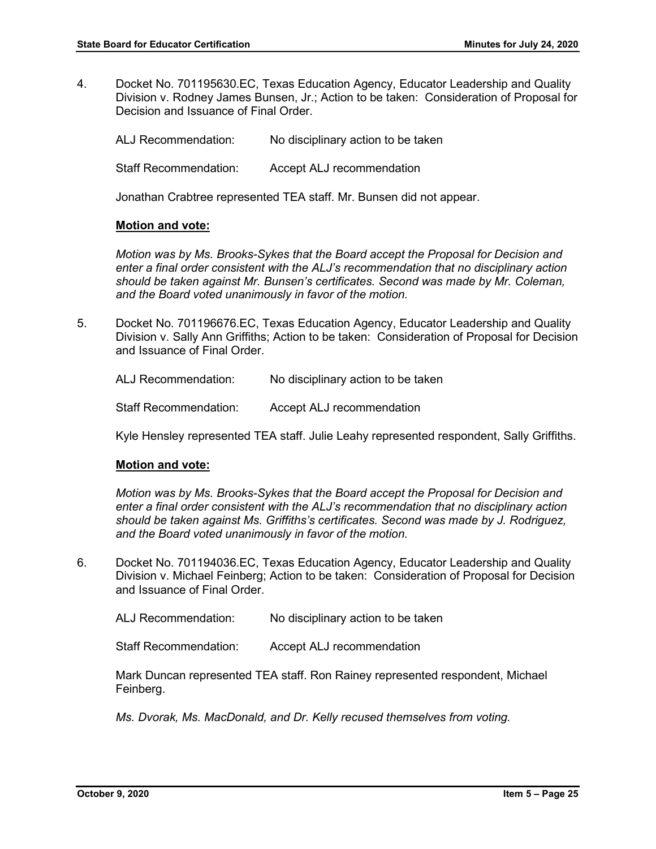4. Docket No. 701195630.EC, Texas Education Agency, Educator Leadership and Quality Division v. Rodney James Bunsen, Jr.; Action to be taken: Consideration of Proposal for Decision and Issuance of Final Order.

ALJ Recommendation: No disciplinary action to be taken Staff Recommendation: Accept ALJ recommendation

Jonathan Crabtree represented TEA staff. Mr. Bunsen did not appear.

## **Motion and vote:**

*Motion was by Ms. Brooks-Sykes that the Board accept the Proposal for Decision and enter a final order consistent with the ALJ's recommendation that no disciplinary action should be taken against Mr. Bunsen's certificates. Second was made by Mr. Coleman, and the Board voted unanimously in favor of the motion.*

5. Docket No. 701196676.EC, Texas Education Agency, Educator Leadership and Quality Division v. Sally Ann Griffiths; Action to be taken: Consideration of Proposal for Decision and Issuance of Final Order.

ALJ Recommendation: No disciplinary action to be taken

Staff Recommendation: Accept ALJ recommendation

Kyle Hensley represented TEA staff. Julie Leahy represented respondent, Sally Griffiths.

## **Motion and vote:**

*Motion was by Ms. Brooks-Sykes that the Board accept the Proposal for Decision and enter a final order consistent with the ALJ's recommendation that no disciplinary action should be taken against Ms. Griffiths's certificates. Second was made by J. Rodriguez, and the Board voted unanimously in favor of the motion.*

6. Docket No. 701194036.EC, Texas Education Agency, Educator Leadership and Quality Division v. Michael Feinberg; Action to be taken: Consideration of Proposal for Decision and Issuance of Final Order.

ALJ Recommendation: No disciplinary action to be taken

Staff Recommendation: Accept ALJ recommendation

Mark Duncan represented TEA staff. Ron Rainey represented respondent, Michael Feinberg.

*Ms. Dvorak, Ms. MacDonald, and Dr. Kelly recused themselves from voting.*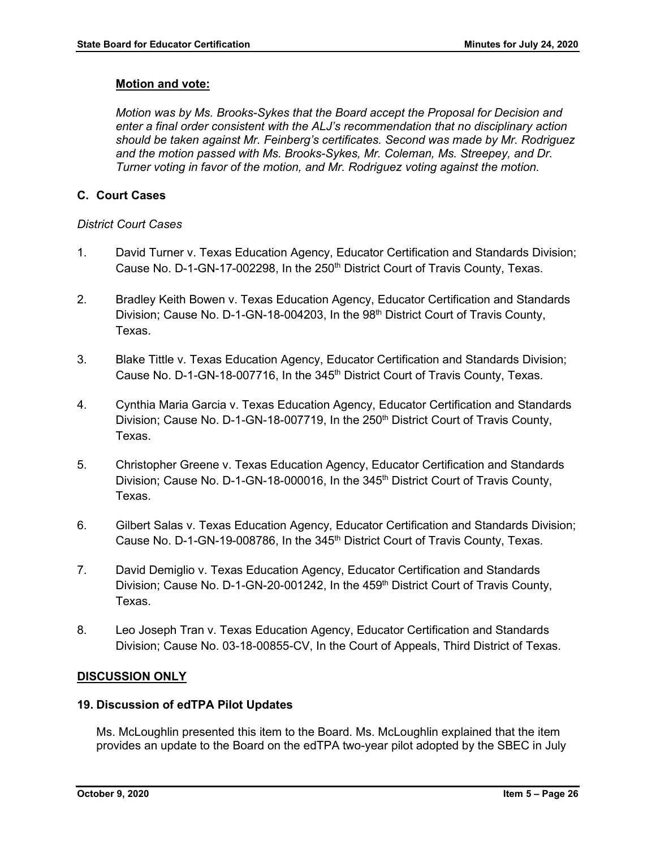## **Motion and vote:**

*Motion was by Ms. Brooks-Sykes that the Board accept the Proposal for Decision and enter a final order consistent with the ALJ's recommendation that no disciplinary action should be taken against Mr. Feinberg's certificates. Second was made by Mr. Rodriguez and the motion passed with Ms. Brooks-Sykes, Mr. Coleman, Ms. Streepey, and Dr. Turner voting in favor of the motion, and Mr. Rodriguez voting against the motion.*

## **C. Court Cases**

## *District Court Cases*

- 1. David Turner v. Texas Education Agency, Educator Certification and Standards Division; Cause No. D-1-GN-17-002298, In the 250<sup>th</sup> District Court of Travis County, Texas.
- 2. Bradley Keith Bowen v. Texas Education Agency, Educator Certification and Standards Division; Cause No. D-1-GN-18-004203, In the  $98<sup>th</sup>$  District Court of Travis County, Texas.
- 3. Blake Tittle v. Texas Education Agency, Educator Certification and Standards Division; Cause No. D-1-GN-18-007716, In the 345<sup>th</sup> District Court of Travis County, Texas.
- 4. Cynthia Maria Garcia v. Texas Education Agency, Educator Certification and Standards Division; Cause No. D-1-GN-18-007719, In the 250<sup>th</sup> District Court of Travis County, Texas.
- 5. Christopher Greene v. Texas Education Agency, Educator Certification and Standards Division; Cause No. D-1-GN-18-000016, In the 345<sup>th</sup> District Court of Travis County, Texas.
- 6. Gilbert Salas v. Texas Education Agency, Educator Certification and Standards Division; Cause No. D-1-GN-19-008786, In the 345<sup>th</sup> District Court of Travis County, Texas.
- 7. David Demiglio v. Texas Education Agency, Educator Certification and Standards Division; Cause No. D-1-GN-20-001242, In the 459<sup>th</sup> District Court of Travis County, Texas.
- 8. Leo Joseph Tran v. Texas Education Agency, Educator Certification and Standards Division; Cause No. 03-18-00855-CV, In the Court of Appeals, Third District of Texas.

## **DISCUSSION ONLY**

## **19. Discussion of edTPA Pilot Updates**

Ms. McLoughlin presented this item to the Board. Ms. McLoughlin explained that the item provides an update to the Board on the edTPA two-year pilot adopted by the SBEC in July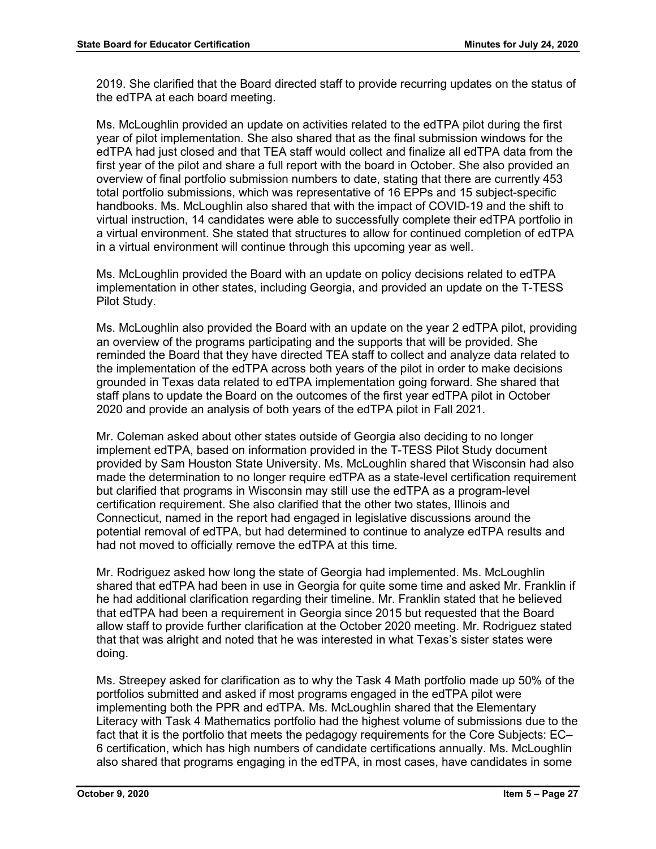2019. She clarified that the Board directed staff to provide recurring updates on the status of the edTPA at each board meeting.

Ms. McLoughlin provided an update on activities related to the edTPA pilot during the first year of pilot implementation. She also shared that as the final submission windows for the edTPA had just closed and that TEA staff would collect and finalize all edTPA data from the first year of the pilot and share a full report with the board in October. She also provided an overview of final portfolio submission numbers to date, stating that there are currently 453 total portfolio submissions, which was representative of 16 EPPs and 15 subject-specific handbooks. Ms. McLoughlin also shared that with the impact of COVID-19 and the shift to virtual instruction, 14 candidates were able to successfully complete their edTPA portfolio in a virtual environment. She stated that structures to allow for continued completion of edTPA in a virtual environment will continue through this upcoming year as well.

Ms. McLoughlin provided the Board with an update on policy decisions related to edTPA implementation in other states, including Georgia, and provided an update on the T-TESS Pilot Study.

Ms. McLoughlin also provided the Board with an update on the year 2 edTPA pilot, providing an overview of the programs participating and the supports that will be provided. She reminded the Board that they have directed TEA staff to collect and analyze data related to the implementation of the edTPA across both years of the pilot in order to make decisions grounded in Texas data related to edTPA implementation going forward. She shared that staff plans to update the Board on the outcomes of the first year edTPA pilot in October 2020 and provide an analysis of both years of the edTPA pilot in Fall 2021.

Mr. Coleman asked about other states outside of Georgia also deciding to no longer implement edTPA, based on information provided in the T-TESS Pilot Study document provided by Sam Houston State University. Ms. McLoughlin shared that Wisconsin had also made the determination to no longer require edTPA as a state-level certification requirement but clarified that programs in Wisconsin may still use the edTPA as a program-level certification requirement. She also clarified that the other two states, Illinois and Connecticut, named in the report had engaged in legislative discussions around the potential removal of edTPA, but had determined to continue to analyze edTPA results and had not moved to officially remove the edTPA at this time.

Mr. Rodriguez asked how long the state of Georgia had implemented. Ms. McLoughlin shared that edTPA had been in use in Georgia for quite some time and asked Mr. Franklin if he had additional clarification regarding their timeline. Mr. Franklin stated that he believed that edTPA had been a requirement in Georgia since 2015 but requested that the Board allow staff to provide further clarification at the October 2020 meeting. Mr. Rodriguez stated that that was alright and noted that he was interested in what Texas's sister states were doing.

Ms. Streepey asked for clarification as to why the Task 4 Math portfolio made up 50% of the portfolios submitted and asked if most programs engaged in the edTPA pilot were implementing both the PPR and edTPA. Ms. McLoughlin shared that the Elementary Literacy with Task 4 Mathematics portfolio had the highest volume of submissions due to the fact that it is the portfolio that meets the pedagogy requirements for the Core Subjects: EC– 6 certification, which has high numbers of candidate certifications annually. Ms. McLoughlin also shared that programs engaging in the edTPA, in most cases, have candidates in some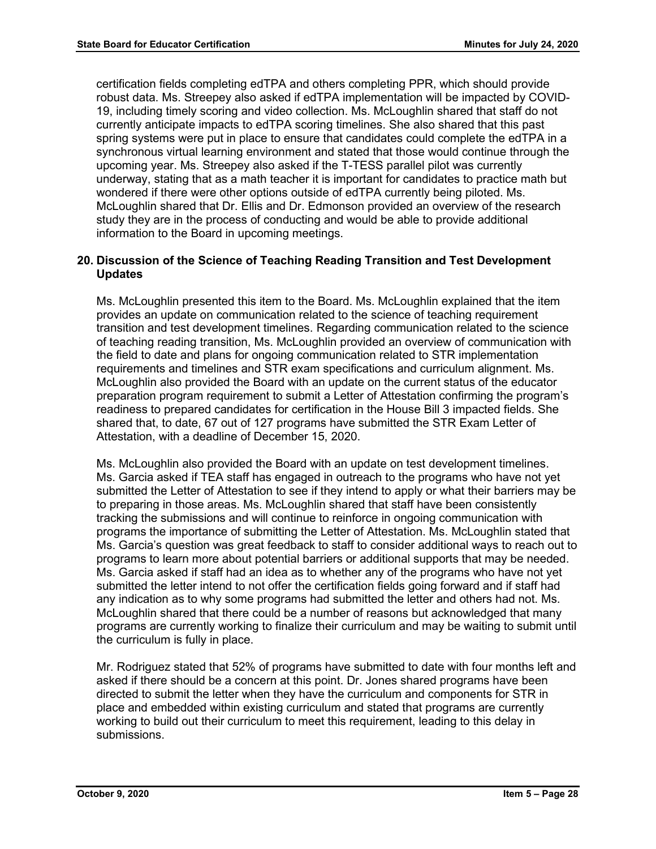certification fields completing edTPA and others completing PPR, which should provide robust data. Ms. Streepey also asked if edTPA implementation will be impacted by COVID-19, including timely scoring and video collection. Ms. McLoughlin shared that staff do not currently anticipate impacts to edTPA scoring timelines. She also shared that this past spring systems were put in place to ensure that candidates could complete the edTPA in a synchronous virtual learning environment and stated that those would continue through the upcoming year. Ms. Streepey also asked if the T-TESS parallel pilot was currently underway, stating that as a math teacher it is important for candidates to practice math but wondered if there were other options outside of edTPA currently being piloted. Ms. McLoughlin shared that Dr. Ellis and Dr. Edmonson provided an overview of the research study they are in the process of conducting and would be able to provide additional information to the Board in upcoming meetings.

## **20. Discussion of the Science of Teaching Reading Transition and Test Development Updates**

Ms. McLoughlin presented this item to the Board. Ms. McLoughlin explained that the item provides an update on communication related to the science of teaching requirement transition and test development timelines. Regarding communication related to the science of teaching reading transition, Ms. McLoughlin provided an overview of communication with the field to date and plans for ongoing communication related to STR implementation requirements and timelines and STR exam specifications and curriculum alignment. Ms. McLoughlin also provided the Board with an update on the current status of the educator preparation program requirement to submit a Letter of Attestation confirming the program's readiness to prepared candidates for certification in the House Bill 3 impacted fields. She shared that, to date, 67 out of 127 programs have submitted the STR Exam Letter of Attestation, with a deadline of December 15, 2020.

Ms. McLoughlin also provided the Board with an update on test development timelines. Ms. Garcia asked if TEA staff has engaged in outreach to the programs who have not yet submitted the Letter of Attestation to see if they intend to apply or what their barriers may be to preparing in those areas. Ms. McLoughlin shared that staff have been consistently tracking the submissions and will continue to reinforce in ongoing communication with programs the importance of submitting the Letter of Attestation. Ms. McLoughlin stated that Ms. Garcia's question was great feedback to staff to consider additional ways to reach out to programs to learn more about potential barriers or additional supports that may be needed. Ms. Garcia asked if staff had an idea as to whether any of the programs who have not yet submitted the letter intend to not offer the certification fields going forward and if staff had any indication as to why some programs had submitted the letter and others had not. Ms. McLoughlin shared that there could be a number of reasons but acknowledged that many programs are currently working to finalize their curriculum and may be waiting to submit until the curriculum is fully in place.

Mr. Rodriguez stated that 52% of programs have submitted to date with four months left and asked if there should be a concern at this point. Dr. Jones shared programs have been directed to submit the letter when they have the curriculum and components for STR in place and embedded within existing curriculum and stated that programs are currently working to build out their curriculum to meet this requirement, leading to this delay in submissions.